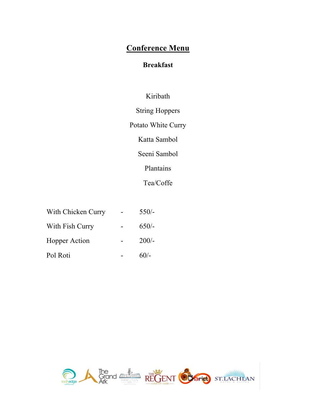# **Conference Menu**

# **Breakfast**

# Kiribath

String Hoppers

Potato White Curry

Katta Sambol

Seeni Sambol

Plantains

Tea/Coffe

| With Chicken Curry   | $550/-$ |
|----------------------|---------|
| With Fish Curry      | $650/-$ |
| <b>Hopper Action</b> | $200/-$ |
| Pol Roti             | $60/-$  |

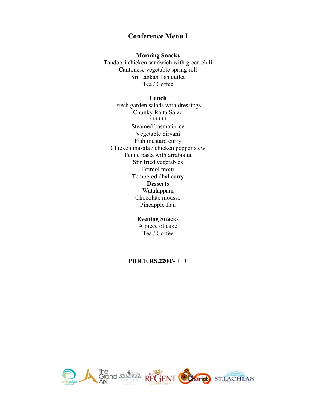## **Conference Menu I**

#### **Morning Snacks**

Tandoori chicken sandwich with green chili Cantonese vegetable spring roll Sri Lankan fish cutlet Tea / Coffee

#### **Lunch**

Fresh garden salads with dressings Chunky Raita Salad \*\*\*\*\*\* Steamed basmati rice Vegetable biryani Fish mustard curry Chicken masala / chicken pepper stew Penne pasta with arrabiatta Stir fried vegetables Brinjol moju Tempered dhal curry **Desserts** Watalappam Chocolate mousse Pineapple flan

# **Evening Snacks**

A piece of cake Tea / Coffee

**PRICE RS.2200/- +++**

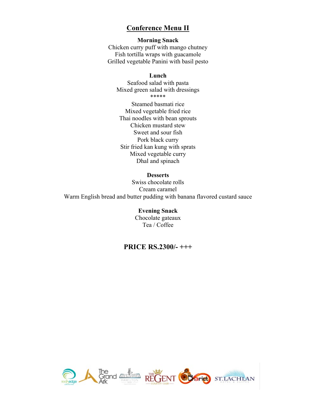## **Conference Menu II**

## **Morning Snack**

Chicken curry puff with mango chutney Fish tortilla wraps with guacamole Grilled vegetable Panini with basil pesto

### **Lunch**

Seafood salad with pasta Mixed green salad with dressings \*\*\*\*\*

Steamed basmati rice Mixed vegetable fried rice Thai noodles with bean sprouts Chicken mustard stew Sweet and sour fish Pork black curry Stir fried kan kung with sprats Mixed vegetable curry Dhal and spinach

#### **Desserts**

Swiss chocolate rolls Cream caramel Warm English bread and butter pudding with banana flavored custard sauce

> **Evening Snack** Chocolate gateaux Tea / Coffee

## **PRICE RS.2300/- +++**